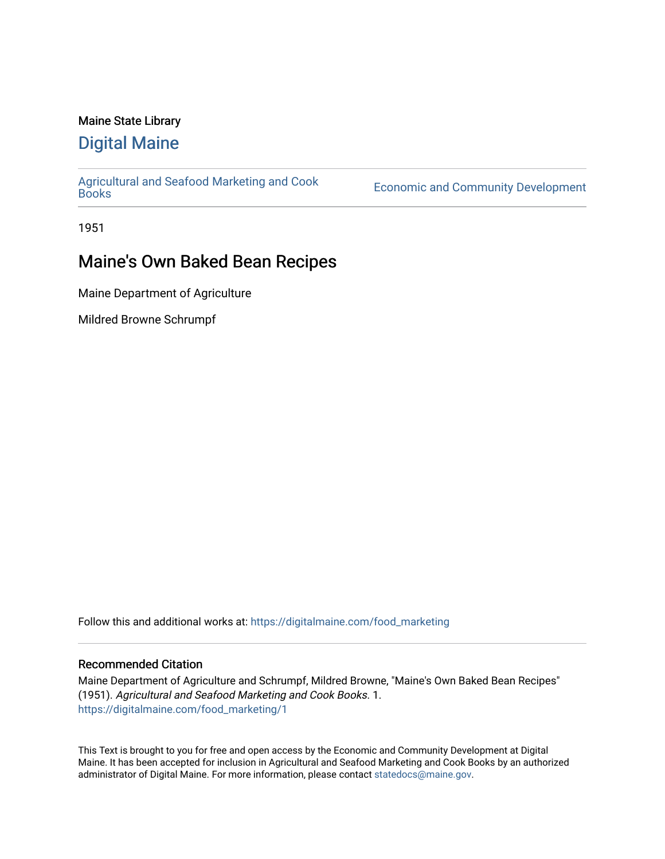#### Maine State Library

#### [Digital Maine](https://digitalmaine.com/)

[Agricultural and Seafood Marketing and Cook](https://digitalmaine.com/food_marketing)

**Economic and Community Development** 

1951

### Maine's Own Baked Bean Recipes

Maine Department of Agriculture

Mildred Browne Schrumpf

Follow this and additional works at: [https://digitalmaine.com/food\\_marketing](https://digitalmaine.com/food_marketing?utm_source=digitalmaine.com%2Ffood_marketing%2F1&utm_medium=PDF&utm_campaign=PDFCoverPages)

#### Recommended Citation

Maine Department of Agriculture and Schrumpf, Mildred Browne, "Maine's Own Baked Bean Recipes" (1951). Agricultural and Seafood Marketing and Cook Books. 1. [https://digitalmaine.com/food\\_marketing/1](https://digitalmaine.com/food_marketing/1?utm_source=digitalmaine.com%2Ffood_marketing%2F1&utm_medium=PDF&utm_campaign=PDFCoverPages) 

This Text is brought to you for free and open access by the Economic and Community Development at Digital Maine. It has been accepted for inclusion in Agricultural and Seafood Marketing and Cook Books by an authorized administrator of Digital Maine. For more information, please contact [statedocs@maine.gov](mailto:statedocs@maine.gov).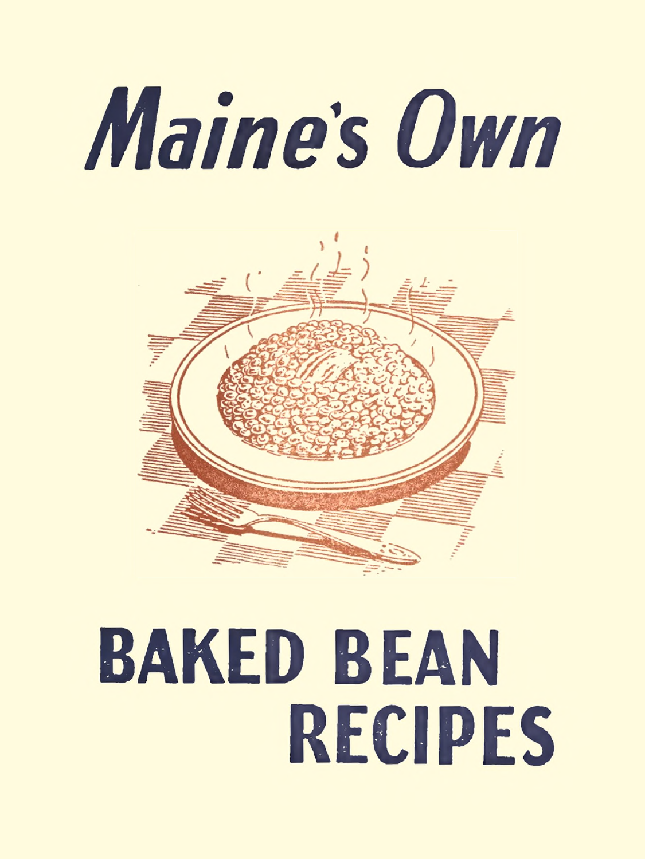# *M aine's Own*



## **BAKED BEAN RECIPES**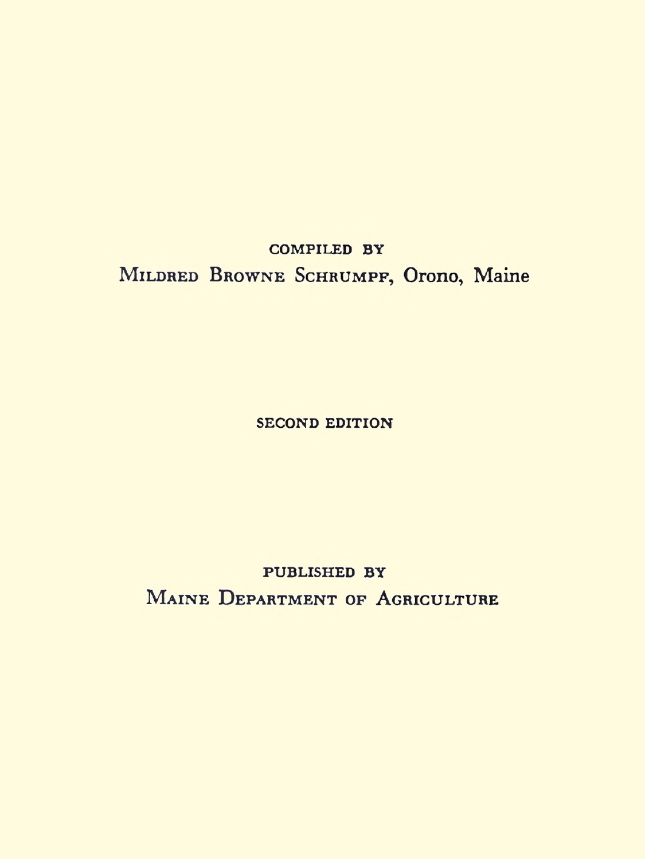#### COMPILED BY MILDRED BROWNE SCHRUMPF, Orono, Maine

SECOND EDITION

PUBLISHED BY MAINE DEPARTMENT OF AGRICULTURE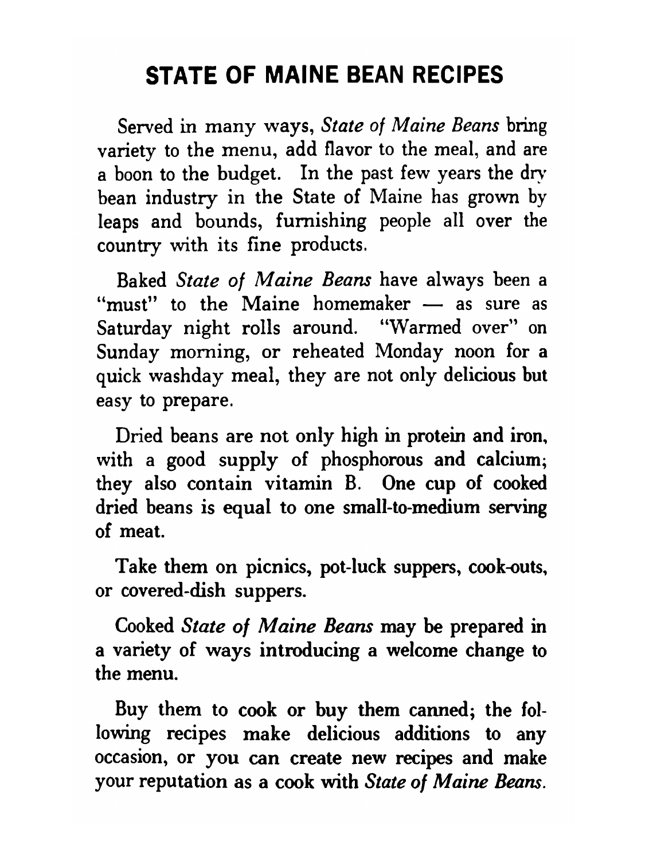#### **STATE OF MAINE BEAN RECIPES**

Served in many ways, *State of Maine Beans* bring variety to the menu, add flavor to the meal, and are a boon to the budget. In the past few years the dry bean industry in the State of Maine has grown by leaps and bounds, furnishing people all over the country with its fine products.

Baked *State of Maine Beans* have always been a " $must$ " to the Maine homemaker  $\rightarrow$  as sure as Saturday night rolls around. "Warmed over" on Sunday morning, or reheated Monday noon for a quick washday meal, they are not only delicious but easy to prepare.

Dried beans are not only high in protein and iron, with a good supply of phosphorous and calcium; they also contain vitamin B. One cup of cooked dried beans is equal to one small-to-medium serving of meat.

Take them on picnics, pot-luck suppers, cook-outs, or covered-dish suppers.

Cooked *State of Maine Beans* may be prepared in a variety of ways introducing a welcome change to the menu.

Buy them to cook or buy them canned; the following recipes make delicious additions to any occasion, or you can create new recipes and make your reputation as a cook with *State of Maine Beans*.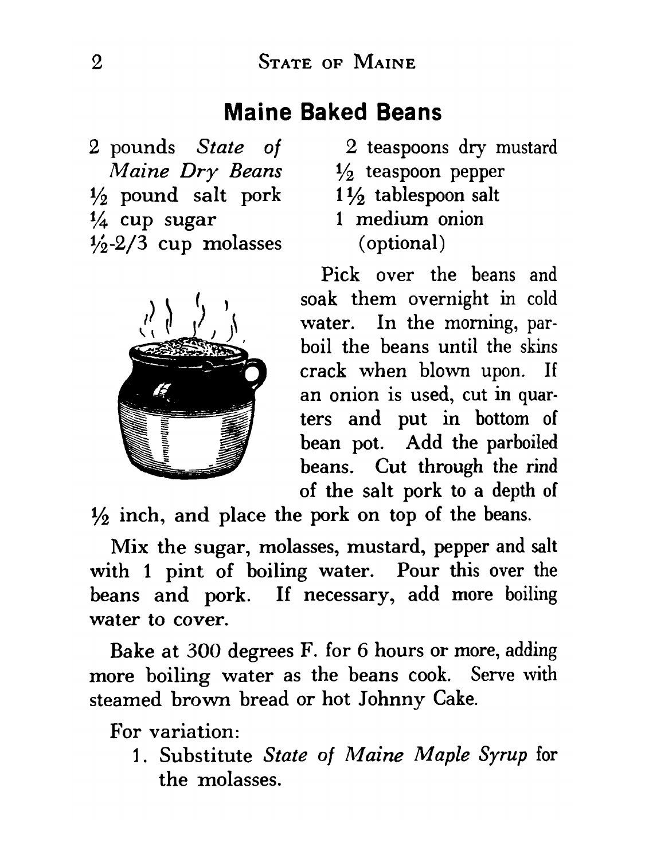#### **Maine Baked Beans**

2 pounds *State of Maine Dry Beans*  $\frac{1}{2}$  pound salt pork  $\frac{1}{4}$  cup sugar  $\frac{1}{2}$ -2/3 cup molasses



- 2 teaspoons dry mustard  $\frac{1}{2}$  teaspoon pepper  $1\frac{1}{2}$  tablespoon salt
- 1 medium onion (optional)

Pick over the beans and soak them overnight in cold water. In the morning, parboil the beans until the skins crack when blown upon. If an onion is used, cut in quarters and put in bottom of bean pot. Add the parboiled beans. Cut through the rind of the salt pork to a depth of

 $\frac{1}{2}$  inch, and place the pork on top of the beans.

Mix the sugar, molasses, mustard, pepper and salt with 1 pint of boiling water. Pour this over the beans and pork. If necessary, add more boiling water to cover.

Bake at 300 degrees F. for 6 hours or more, adding more boiling water as the beans cook. Serve with steamed brown bread or hot Johnny Cake.

For variation:

1. Substitute *State of Maine Maple Syrup* for the molasses.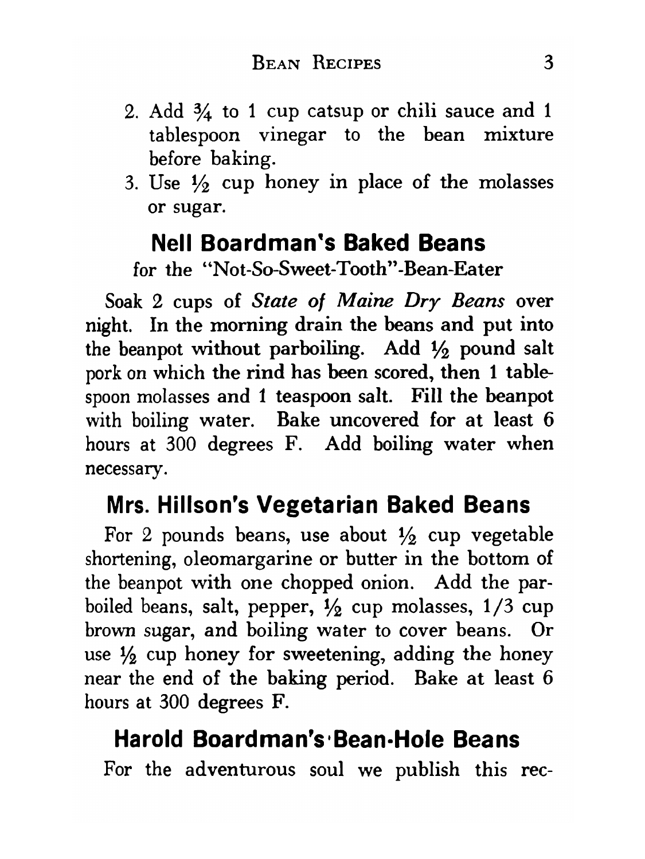- 2. Add 3/4 to 1 cup catsup or chili sauce and 1 tablespoon vinegar to the bean mixture before baking.
- 3. Use  $\frac{1}{2}$  cup honey in place of the molasses or sugar.

#### **Nell Boardman's Baked Beans**

for the "Not-So-Sweet-Tooth"-Bean-Eater

Soak 2 cups of *State of Maine Dry Beans* over night. In the morning drain the beans and put into the beanpot without parboiling. Add  $\frac{1}{2}$  pound salt pork on which the rind has been scored, then 1 tablespoon molasses and 1 teaspoon salt. Fill the beanpot with boiling water. Bake uncovered for at least 6 hours at 300 degrees F. Add boiling water when necessary.

#### **Mrs. Hillson's Vegetarian Baked Beans**

For 2 pounds beans, use about  $\frac{1}{2}$  cup vegetable shortening, oleomargarine or butter in the bottom of the beanpot with one chopped onion. Add the parboiled beans, salt, pepper,  $\frac{1}{2}$  cup molasses,  $\frac{1}{3}$  cup brown sugar, and boiling water to cover beans. Or use  $\frac{1}{2}$  cup honey for sweetening, adding the honey near the end of the baking period. Bake at least 6 hours at 300 degrees F.

#### **Harold Boardman's Bean-Hole Beans**

For the adventurous soul we publish this rec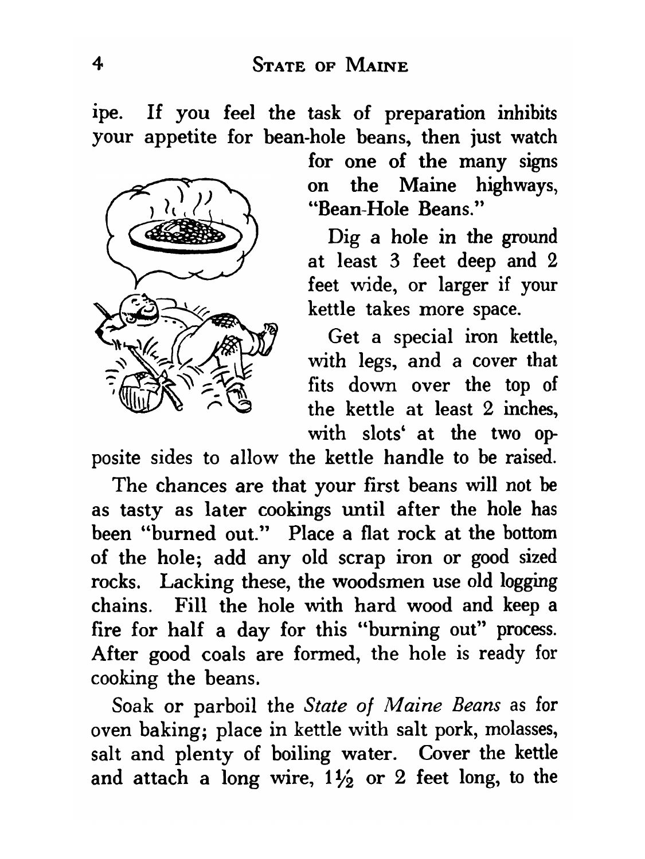ipe. If you feel the task of preparation inhibits your appetite for bean-hole beans, then just watch



for one of the many signs on the Maine highways, " Bean-Hole Beans."

Dig a hole in the ground at least 3 feet deep and 2 feet wide, or larger if your kettle takes more space.

Get a special iron kettle, with legs, and a cover that fits down over the top of the kettle at least 2 inches, with slots' at the two op-

posite sides to allow the kettle handle to be raised.

The chances are that your first beans will not be as tasty as later cookings until after the hole has been "burned out." Place a flat rock at the bottom of the hole; add any old scrap iron or good sized rocks. Lacking these, the woodsmen use old logging chains. Fill the hole with hard wood and keep a fire for half a day for this "burning out" process. After good coals are formed, the hole is ready for cooking the beans.

Soak or parboil the *State of Maine Beans* as for oven baking; place in kettle with salt pork, molasses, salt and plenty of boiling water. Cover the kettle and attach a long wire,  $1\frac{1}{2}$  or 2 feet long, to the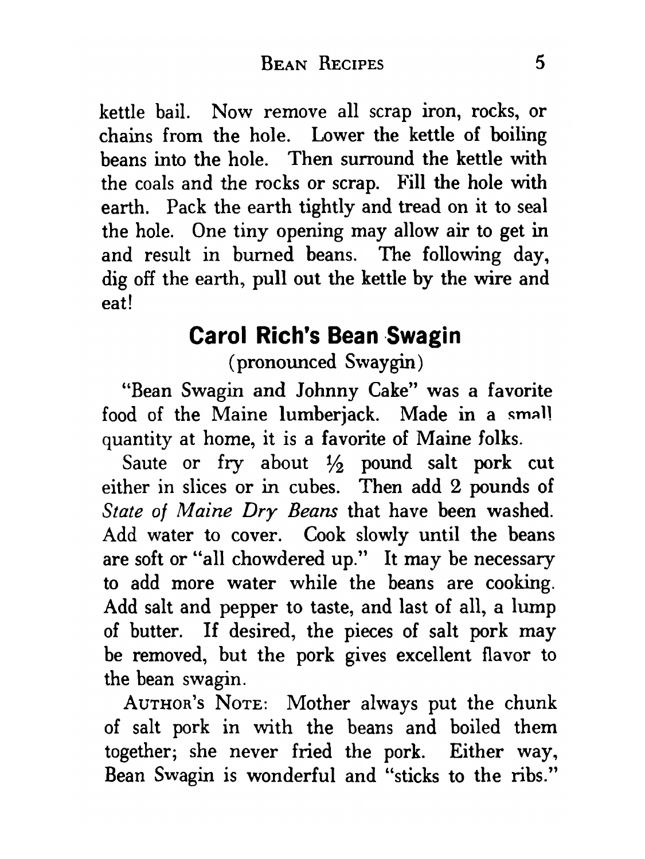kettle bail. Now remove all scrap iron, rocks, or chains from the hole. Lower the kettle of boiling beans into the hole. Then surround the kettle with the coals and the rocks or scrap. Fill the hole with earth. Pack the earth tightly and tread on it to seal the hole. One tiny opening may allow air to get in and result in burned beans. The following day, dig off the earth, pull out the kettle by the wire and eat!

#### **Carol Rich's Bean Swagin**

(pronounced Swaygin)

" Bean Swagin and Johnny Cake" was a favorite food of the Maine lumberjack. Made in a small quantity at home, it is a favorite of Maine folks.

Saute or fry about  $\frac{1}{2}$  pound salt pork cut either in slices or in cubes. Then add 2 pounds of *State of Maine Dry Beans* that have been washed. Add water to cover. Cook slowly until the beans are soft or "all chowdered up." It may be necessary to add more water while the beans are cooking. Add salt and pepper to taste, and last of all, a lump of butter. If desired, the pieces of salt pork may be removed, but the pork gives excellent flavor to the bean swagin.

AUTHOR'S NOTE: Mother always put the chunk of salt pork in with the beans and boiled them together; she never fried the pork. Either way, Bean Swagin is wonderful and "sticks to the ribs."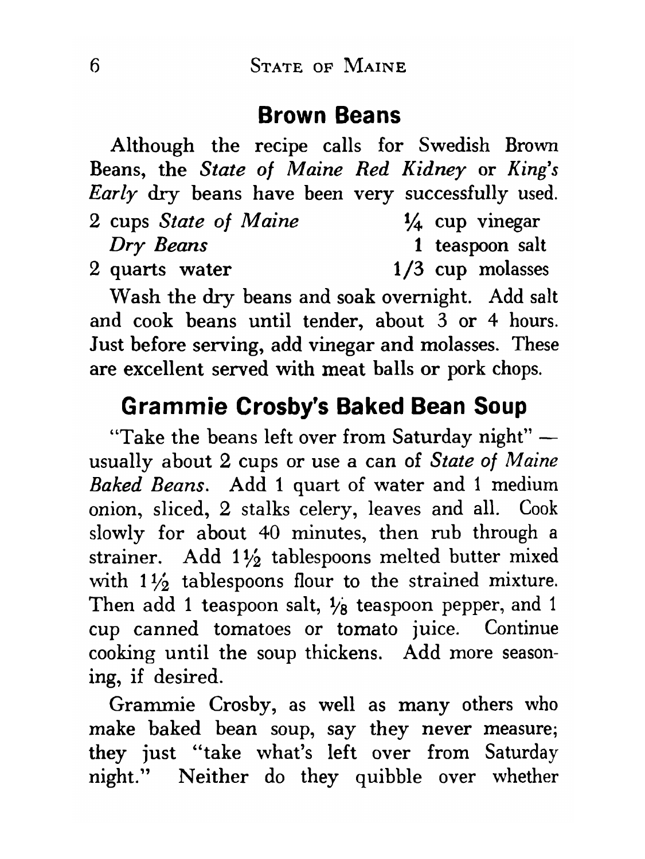#### **Brown Beans**

Although the recipe calls for Swedish Brown Beans, the *State of Maine Red Kidney* or *King's Early* dry beans have been very successfully used. 2 cups *State of Maine Dry Beans* 1/4 cup vinegar 1 teaspoon salt

2 quarts water

1 /3 cup molasses

Wash the dry beans and soak overnight. Add salt and cook beans until tender, about 3 or 4 hours. Just before serving, add vinegar and molasses. These are excellent served with meat balls or pork chops.

#### **Grammie Crosby's Baked Bean Soup**

" Take the beans left over from Saturday night" usually about 2 cups or use a can of *State of Maine Baked Beans.* Add 1 quart of water and 1 medium onion, sliced, 2 stalks celery, leaves and all. Cook slowly for about 40 minutes, then rub through a strainer. Add  $1\frac{1}{2}$  tablespoons melted butter mixed with  $1\frac{1}{2}$  tablespoons flour to the strained mixture. Then add 1 teaspoon salt,  $\frac{1}{8}$  teaspoon pepper, and 1 cup canned tomatoes or tomato juice. Continue cooking until the soup thickens. Add more seasoning, if desired.

Grammie Crosby, as well as many others who make baked bean soup, say they never measure; they just "take what's left over from Saturday night." Neither do they quibble over whether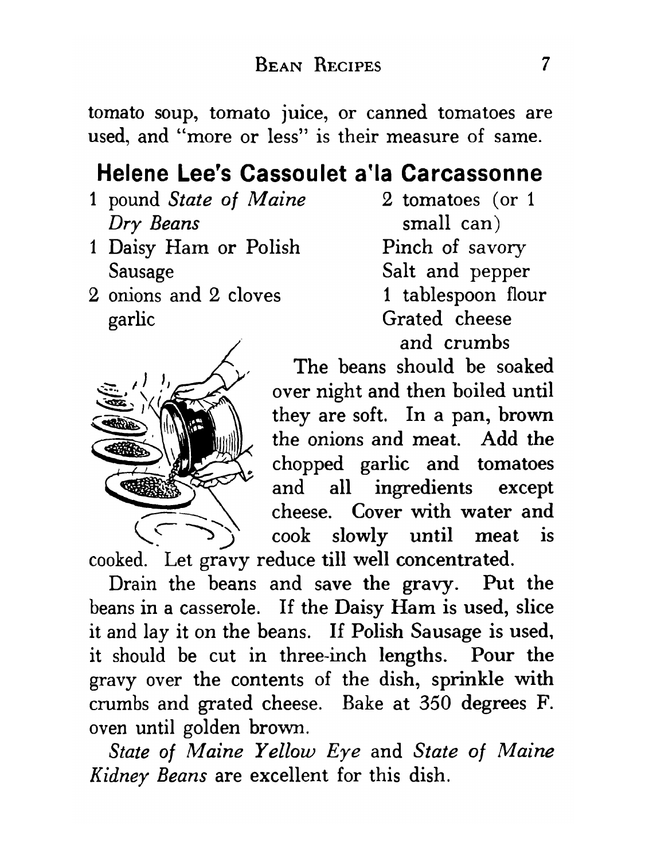tomato soup, tomato juice, or canned tomatoes are used, and "more or less" is their measure of same.

#### **Helene Lee's Cassoulet a'la Carcassonne**

- 1 pound *State of Maine Dry Beans*
- 1 Daisy Ham or Polish Sausage
- 2 onions and 2 cloves garlic



2 tomatoes (or 1 small can) Pinch of savory Salt and pepper 1 tablespoon flour Grated cheese and crumbs

The beans should be soaked over night and then boiled until they are soft. In a pan, brown the onions and meat. Add the chopped garlic and tomatoes and all ingredients except cheese. Cover with water and cook slowly until meat is

cooked. Let gravy reduce till well concentrated.

Drain the beans and save the gravy. Put the beans in a casserole. If the Daisy Ham is used, slice it and lay it on the beans. If Polish Sausage is used, it should be cut in three-inch lengths. Pour the gravy over the contents of the dish, sprinkle with crumbs and grated cheese. Bake at 350 degrees F. oven until golden brown.

*State of Maine Yellow Eye* and *State of Maine Kidney Beans* are excellent for this dish.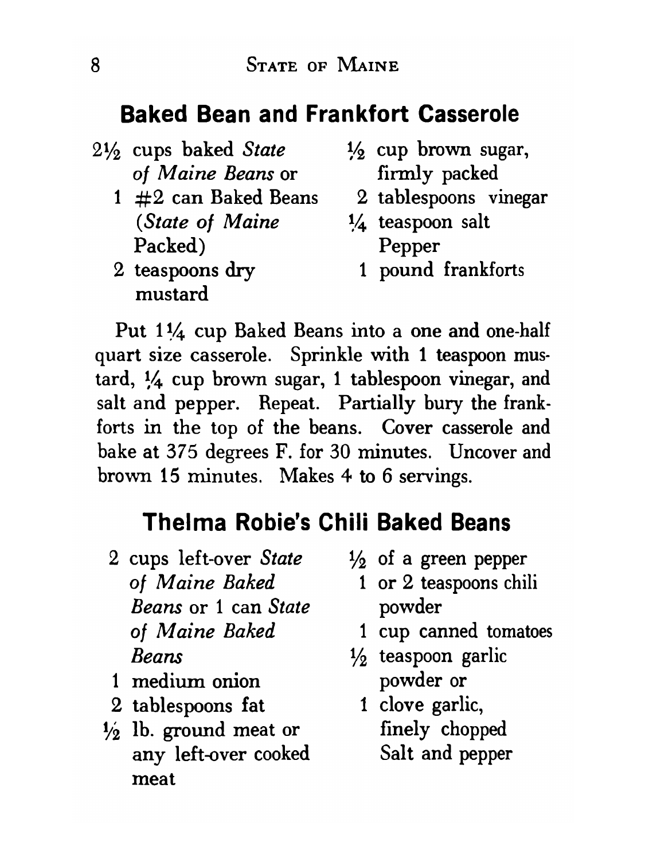#### **Baked Bean and Frankfort Casserole**

- *2 1/2* cups baked *State of Maine Beans* or
	- 1  $\pm 2$  can Baked Beans *(State of Maine* Packed)
	- 2 teaspoons dry mustard
- $\frac{1}{2}$  cup brown sugar, firmly packed
	- 2 tablespoons vinegar
- 1/4 teaspoon salt Pepper
	- 1 pound frankforts

Put 11/4 cup Baked Beans into a one and one-half quart size casserole. Sprinkle with 1 teaspoon mustard, 1/4 cup brown sugar, 1 tablespoon vinegar, and salt and pepper. Repeat. Partially bury the frankforts in the top of the beans. Cover casserole and bake at 375 degrees F. for 30 minutes. Uncover and brown 15 minutes. Makes 4 to 6 servings.

#### **Thelma Robie's Chili**

- 2 cups left-over *State of Maine Baked Beans* or 1 can *State of Maine Baked Beans*
- 1 medium onion
- 2 tablespoons fat
- $1/2$  lb. ground meat or any left-over cooked meat
- 1/2 of a green pepper **%**
	- 1 or 2 teaspoons chili powder
	- 1 cup canned tomatoes
- 1/2 teaspoon garlic powder or
	- 1 clove garlic, finely chopped Salt and pepper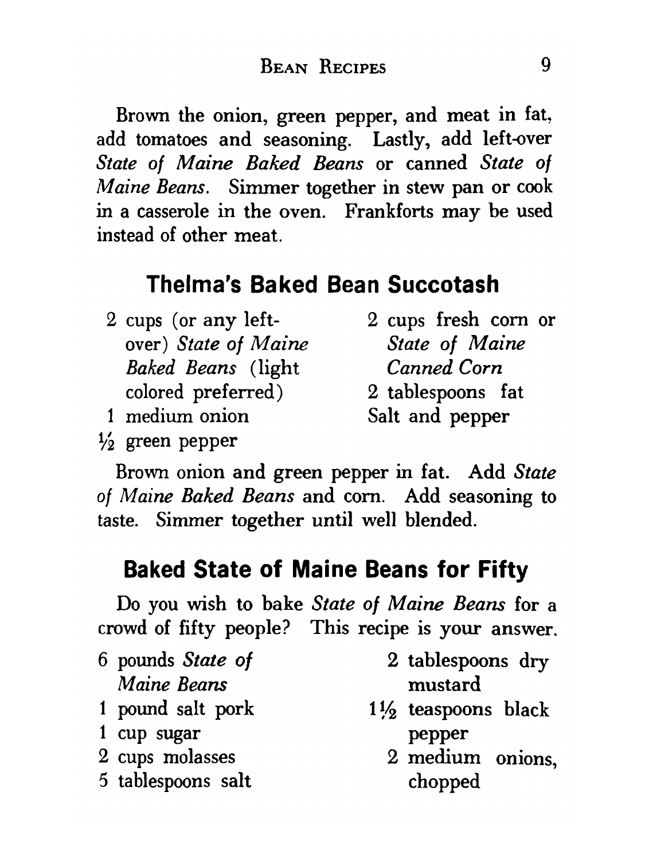Brown the onion, green pepper, and meat in fat, add tomatoes and seasoning. Lastly, add left-over *State of Maine Baked Beans* or canned *State of Maine Beans.* Simmer together in stew pan or cook in a casserole in the oven. Frankforts may be used instead of other meat.

#### **Thelma's Baked Bean Succotash**

- 2 cups (or any left- 2 cups fresh com or over) *State of Maine State of Maine Baked Beans* (light *Canned Corn* colored preferred) 2 tablespoons fat
- 1 medium onion Salt and pepper
- $\frac{1}{2}$  green pepper
- 
- 
- 

Brown onion and green pepper in fat. Add *State of Maine Baked Beans* and com. Add seasoning to taste. Simmer together until well blended.

#### **Baked State of Maine Beans for Fifty**

Do you wish to bake *State of Maine Beans* for a crowd of fifty people? This recipe is your answer.

- 6 pounds *State of Maine Beans*
- 1 pound salt pork
- 1 cup sugar
- 2 cups molasses
- 5 tablespoons salt
- 2 tablespoons dry mustard
- 1<sup>1</sup>/<sub>2</sub> teaspoons black pepper
	- 2 medium onions, chopped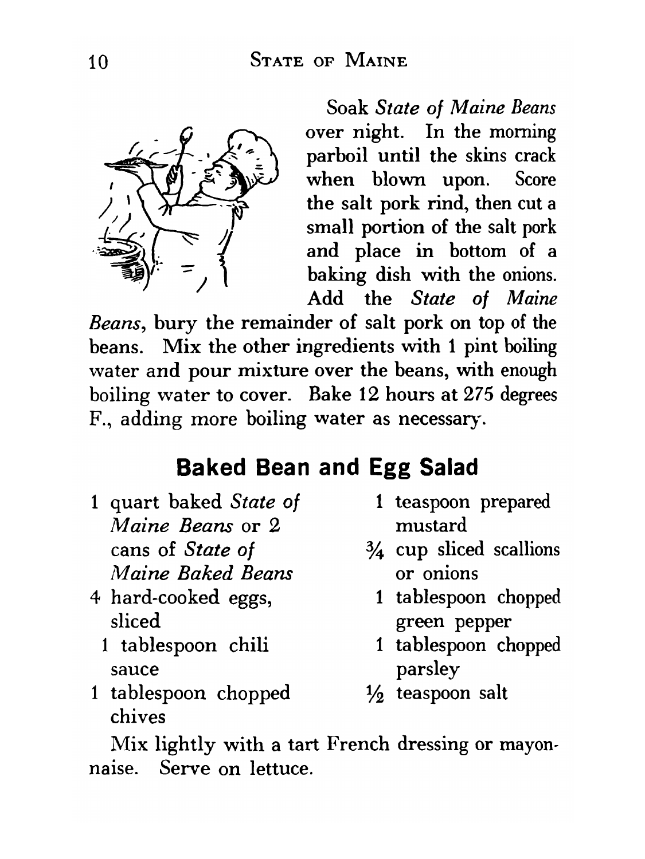

Soak *State of Maine Beans* over night. In the morning parboil until the skins crack when blown upon. Score the salt pork rind, then cut a small portion of the salt pork and place in bottom of a baking dish with the onions. Add the *State of Maine*

*Beans*, bury the remainder of salt pork on top of the beans. Mix the other ingredients with 1 pint boiling water and pour mixture over the beans, with enough boiling water to cover. Bake 12 hours at 275 degrees F., adding more boiling water as necessary.

#### **Baked Bean and Egg Salad**

- 1 quart baked *State of Maine Beans* or 2 cans of *State of Maine Baked Beans*
- 4 hard-cooked eggs, sliced
	- 1 tablespoon chili sauce
- 1 teaspoon prepared mustard
- 3/4 cup sliced scallions or onions
- 1 tablespoon chopped green pepper
- 1 tablespoon chopped parsley
- 1 tablespoon chopped chives
- $1/2$  teaspoon salt

Mix lightly with a tart French dressing or mayonnaise. Serve on lettuce.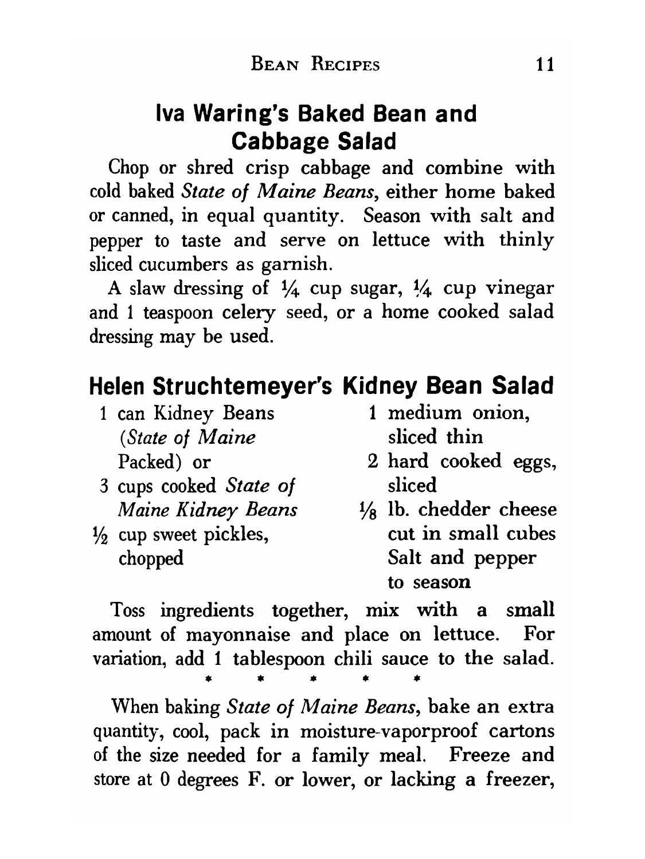#### **Iva Waring's Baked Bean and Cabbage Salad**

Chop or shred crisp cabbage and combine with cold baked *State* of *Maine Beans*, either home baked or canned, in equal quantity. Season with salt and pepper to taste and serve on lettuce with thinly sliced cucumbers as garnish.

A slaw dressing of  $\frac{1}{4}$  cup sugar,  $\frac{1}{4}$  cup vinegar and 1 teaspoon celery seed, or a home cooked salad dressing may be used.

#### **Helen Struchtemeyer's Kidney Bean Salad**

- 1 can Kidney Beans (*State of Maine* Packed) or
- 3 cups cooked *State of Maine Kidney Beans*
- $\frac{1}{2}$  cup sweet pickles, chopped
- 1 medium onion*,* sliced thin
- 2 hard cooked eggs, sliced
- $\frac{1}{8}$  lb. chedder cheese cut in small cubes Salt and pepper to season

Toss ingredients together, mix with a small amount of mayonnaise and place on lettuce. For variation, add 1 tablespoon chili sauce to the salad.

When baking *State of Maine Beans,* bake an extra quantity, cool, pack in moisture-vaporproof cartons of the size needed for a fam ily meal. Freeze and store at 0 degrees F. or lower, or lacking a freezer,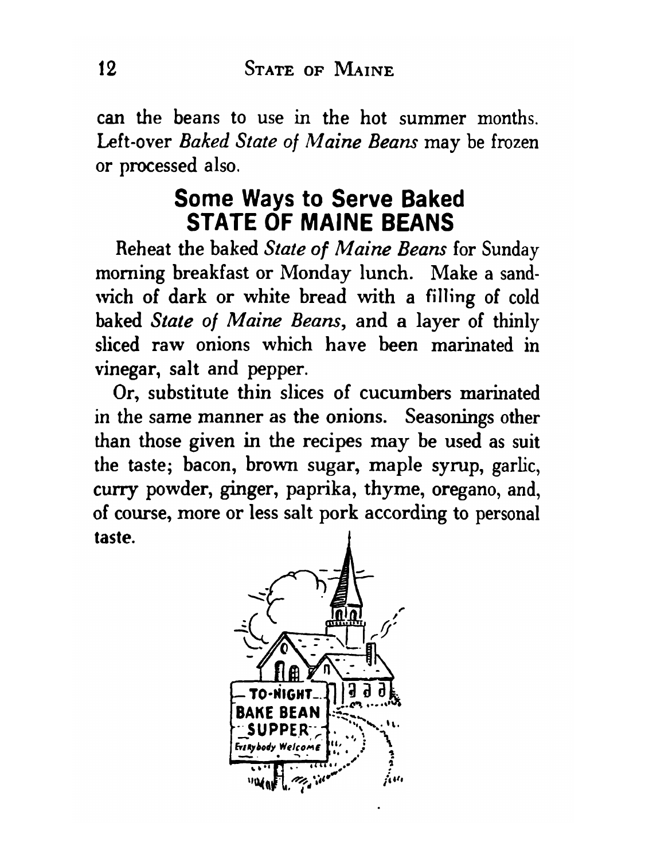can the beans to use in the hot summer months. Left-over *Baked State of Maine Beans* may be frozen or processed also.

#### **Some Ways to Serve Baked STATE OF MAINE BEANS**

Reheat the baked *State of Maine Beans* for Sunday morning breakfast or Monday lunch. Make a sandwich of dark or white bread with a filling of cold baked *State of Maine Beans,* and a layer of thinly sliced raw onions which have been marinated in vinegar, salt and pepper.

Or, substitute thin slices of cucumbers marinated in the same manner as the onions. Seasonings other than those given in the recipes may be used as suit the taste; bacon, brown sugar, maple syrup, garlic, curry powder, ginger, paprika, thyme, oregano, and, of course, more or less salt pork according to personal taste.

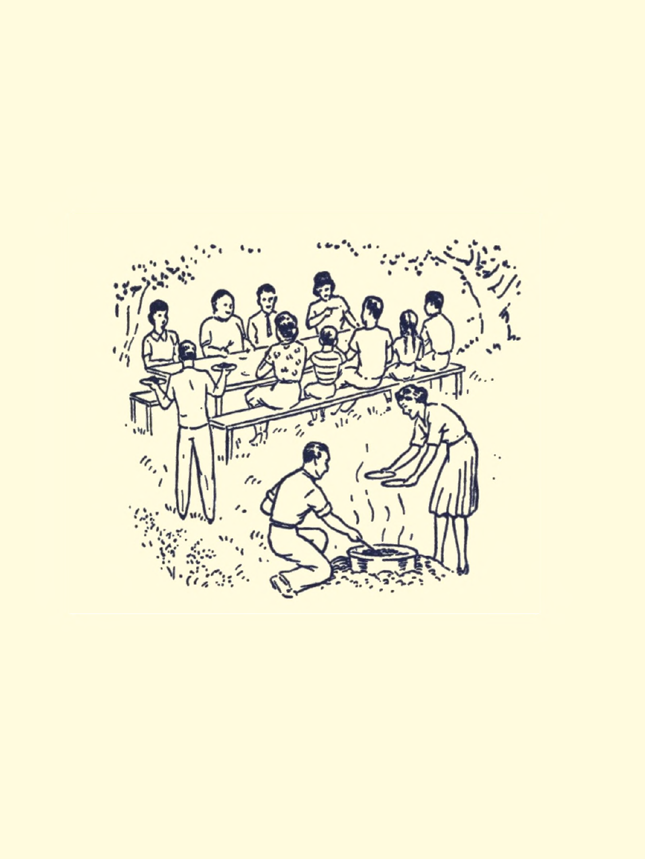